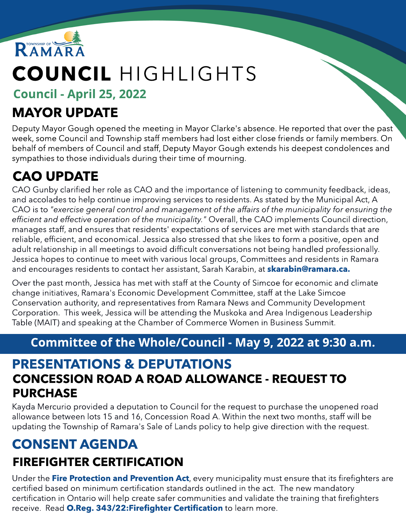

# COUNCIL HIGHLIGHTS

Council - April 25, 2022

# MAYOR UPDATE

Deputy Mayor Gough opened the meeting in Mayor Clarke's absence. He reported that over the past week, some Council and Township staff members had lost either close friends or family members. On behalf of members of Council and staff, Deputy Mayor Gough extends his deepest condolences and sympathies to those individuals during their time of mourning.

# CAO UPDATE

CAO Gunby clarified her role as CAO and the importance of listening to community feedback, ideas, and accolades to help continue improving services to residents. As stated by the Municipal Act, A CAO is to **"exercise general control and management of the affairsof the municipality for ensuring the efficient and effective operation of the municipality."** Overall, the CAO implements Council direction, manages staff, and ensures that residents' expectations of services are met with standards that are reliable, efficient, and economical. Jessica also stressed that she likes to form a positive, open and adult relationship in all meetings to avoid difficult conversations not being handled professionally. Jessica hopes to continue to meet with various local groups, Committees and residents in Ramara and encourages residents to contact her assistant, Sarah Karabin, at **[skarabin@ramara.ca.](mailto:skarabin@ramara.ca)** 

Over the past month, Jessica has met with staff at the County of Simcoe for economic and climate change initiatives, Ramara's Economic Development Committee, staff at the Lake Simcoe Conservation authority, and representatives from Ramara News and Community Development Corporation. This week, Jessica will be attending the Muskoka and Area Indigenous Leadership Table (MAIT) and speaking at the Chamber of Commerce Women in Business Summit.

### Committee of the Whole/Council - May 9, 2022 at 9:30 a.m.

#### CONCESSION ROAD A ROAD ALLOWANCE - REQUEST TO **PURCHASE** PRESENTATIONS & DEPUTATIONS

Kayda Mercurio provided a deputation to Council for the request to purchase the unopened road allowance between lots 15 and 16, Concession Road A. Within the next two months, staff will be updating the Township of Ramara's Sale of Lands policy to help give direction with the request.

# CONSENT AGENDA FIREFIGHTER CERTIFICATION

Under the [Fire](https://www.ontario.ca/laws/statute/97f04) [Protection](https://www.ontario.ca/laws/statute/97f04) [and](https://www.ontario.ca/laws/statute/97f04) [Prevention](https://www.ontario.ca/laws/statute/97f04) [Act](https://www.ontario.ca/laws/statute/97f04), every municipality must ensure that its firefighters are certified based on minimum certification standards outlined in the act. The new mandatory certification in Ontario will help create safer communities and validate the training that firefighters receive. Read [O.Reg.](https://www.ontario.ca/laws/regulation/r22343?search=343%2F22) 343/22: Firefighter [Certification](https://www.ontario.ca/laws/regulation/r22343?search=343%2F22) to learn more.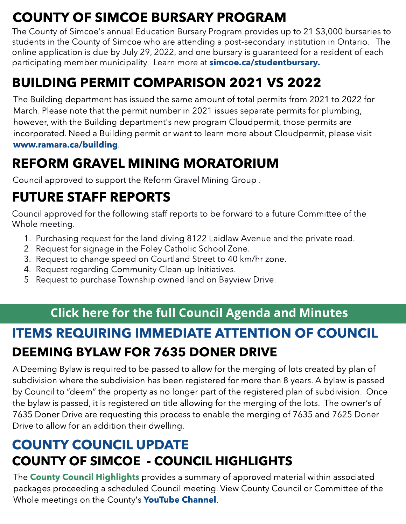# COUNTY OF SIMCOE BURSARY PROGRAM

The County of Simcoe's annual Education Bursary Program provides up to 21 \$3,000 bursaries to students in the County of Simcoe who are attending a post-secondary institution in Ontario. The online application is due by July 29, 2022, and one bursary is guaranteed for a resident of each participating member municipality. Learn more at **simcoe.ca/[studentbursary.](http://simcoe.ca/studentbursary)** 

# BUILDING PERMIT COMPARISON 2021 VS 2022

The Building department has issued the same amount of total permits from 2021 to 2022 for March. Please note that the permit number in 2021 issues separate permits for plumbing; however, with the Building department's new program Cloudpermit, those permits are incorporated. Need a Building permit or want to learn more about Cloudpermit, please visit ww[w.ramara.ca/building](http://www.ramara.ca/building).

# REFORM GRAVEL MINING MORATORIUM

Council approved to support the Reform Gravel Mining Group .

# FUTURE STAFF REPORTS

Council approved for the following staff reports to be forward to a future Committee of the Whole meeting.

- 1. Purchasing request for the land diving 8122 Laidlaw Avenue and the private road.
- 2. Request for signage in the Foley Catholic School Zone.
- 3. Request to change speed on Courtland Street to 40 km/hr zone.
- 4. Request regarding Community Clean-up Initiatives.
- 5. Request to purchase Township owned land on Bayview Drive.

## C[lic](https://ramara.civicweb.net/portal/)k he[re](https://ramara.civicweb.net/portal/) [fo](https://ramara.civicweb.net/portal/)r the full [Council](https://ramara.civicweb.net/portal/) [Agenda](https://ramara.civicweb.net/portal/) [and](https://ramara.civicweb.net/portal/) [Minut](https://ramara.civicweb.net/portal/)es

# ITEMS REQUIRING IMMEDIATE ATTENTION OF COUNCIL DEEMING BYLAW FOR 7635 DONER DRIVE

A Deeming Bylaw is required to be passed to allow for the merging of lots created by plan of subdivision where the subdivision has been registered for more than 8 years. A bylaw is passed by Council to "deem" the property as no longer part of the registered plan of subdivision. Once the bylaw is passed, it is registered on title allowing for the merging of the lots. The owner's of 7635 Doner Drive are requesting this process to enable the merging of 7635 and 7625 Doner Drive to allow for an addition their dwelling.

# COUNTY OF SIMCOE - COUNCIL HIGHLIGHTS COUNTY COUNCIL UPDATE

The **[County](https://ramara.civicweb.net/document/62067/FW_%20County%20Council%20Highlights%20-%20meeting%20held%20April.pdf?handle=2FECDD7844004BBB92D771DBCA9B0AF1) [Council](https://ramara.civicweb.net/document/62067/FW_%20County%20Council%20Highlights%20-%20meeting%20held%20April.pdf?handle=2FECDD7844004BBB92D771DBCA9B0AF1) [Highlights](https://ramara.civicweb.net/document/62067/FW_%20County%20Council%20Highlights%20-%20meeting%20held%20April.pdf?handle=2FECDD7844004BBB92D771DBCA9B0AF1)** provides a summary of approved material within associated packages proceeding a scheduled Council meeting. View County Council or Committee of the Whole meetings on the County's [YouTube](https://www.youtube.com/user/CountyofSimcoe/videos) [Channel](https://www.youtube.com/user/CountyofSimcoe/videos).